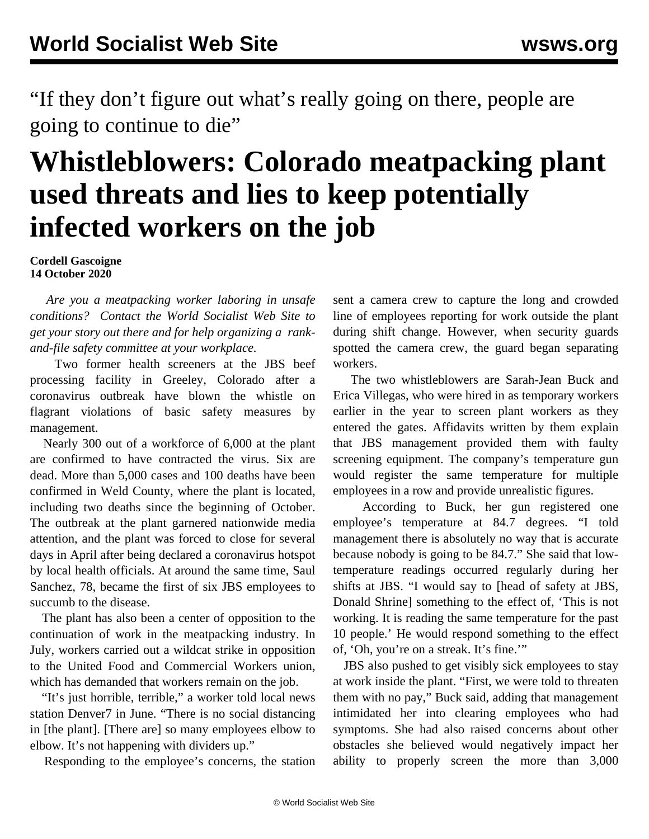"If they don't figure out what's really going on there, people are going to continue to die"

## **Whistleblowers: Colorado meatpacking plant used threats and lies to keep potentially infected workers on the job**

**Cordell Gascoigne 14 October 2020**

 *Are you a meatpacking worker laboring in unsafe conditions? [Contact](/en/special/pages/contact.html) the World Socialist Web Site to get your story out there and for help organizing a [rank](/en/articles/2020/05/21/pers-m21.html)[and-file safety committee](/en/articles/2020/05/21/pers-m21.html) at your workplace.*

 Two former health screeners at the JBS beef processing facility in Greeley, Colorado after a coronavirus outbreak have blown the whistle on flagrant violations of basic safety measures by management.

 Nearly 300 out of a workforce of 6,000 at the plant are confirmed to have contracted the virus. Six are dead. More than 5,000 cases and 100 deaths have been confirmed in Weld County, where the plant is located, including two deaths since the beginning of October. The outbreak at the plant garnered nationwide media attention, and the plant was forced to close for several days in April after being declared a coronavirus hotspot by local health officials. At around the same time, Saul Sanchez, 78, became the first of six JBS employees to succumb to the disease.

 The plant has also been a center of opposition to the continuation of work in the meatpacking industry. In July, workers carried out a [wildcat strike](/en/articles/2020/07/14/auto-j14.html) in opposition to the United Food and Commercial Workers union, which has demanded that workers remain on the job.

 "It's just horrible, terrible," a worker told local news station Denver7 in June. "There is no social distancing in [the plant]. [There are] so many employees elbow to elbow. It's not happening with dividers up."

Responding to the employee's concerns, the station

sent a camera crew to capture the long and crowded line of employees reporting for work outside the plant during shift change. However, when security guards spotted the camera crew, the guard began separating workers.

 The two whistleblowers are Sarah-Jean Buck and Erica Villegas, who were hired in as temporary workers earlier in the year to screen plant workers as they entered the gates. Affidavits written by them explain that JBS management provided them with faulty screening equipment. The company's temperature gun would register the same temperature for multiple employees in a row and provide unrealistic figures.

 According to Buck, her gun registered one employee's temperature at 84.7 degrees. "I told management there is absolutely no way that is accurate because nobody is going to be 84.7." She said that lowtemperature readings occurred regularly during her shifts at JBS. "I would say to [head of safety at JBS, Donald Shrine] something to the effect of, 'This is not working. It is reading the same temperature for the past 10 people.' He would respond something to the effect of, 'Oh, you're on a streak. It's fine.'"

 JBS also pushed to get visibly sick employees to stay at work inside the plant. "First, we were told to threaten them with no pay," Buck said, adding that management intimidated her into clearing employees who had symptoms. She had also raised concerns about other obstacles she believed would negatively impact her ability to properly screen the more than 3,000